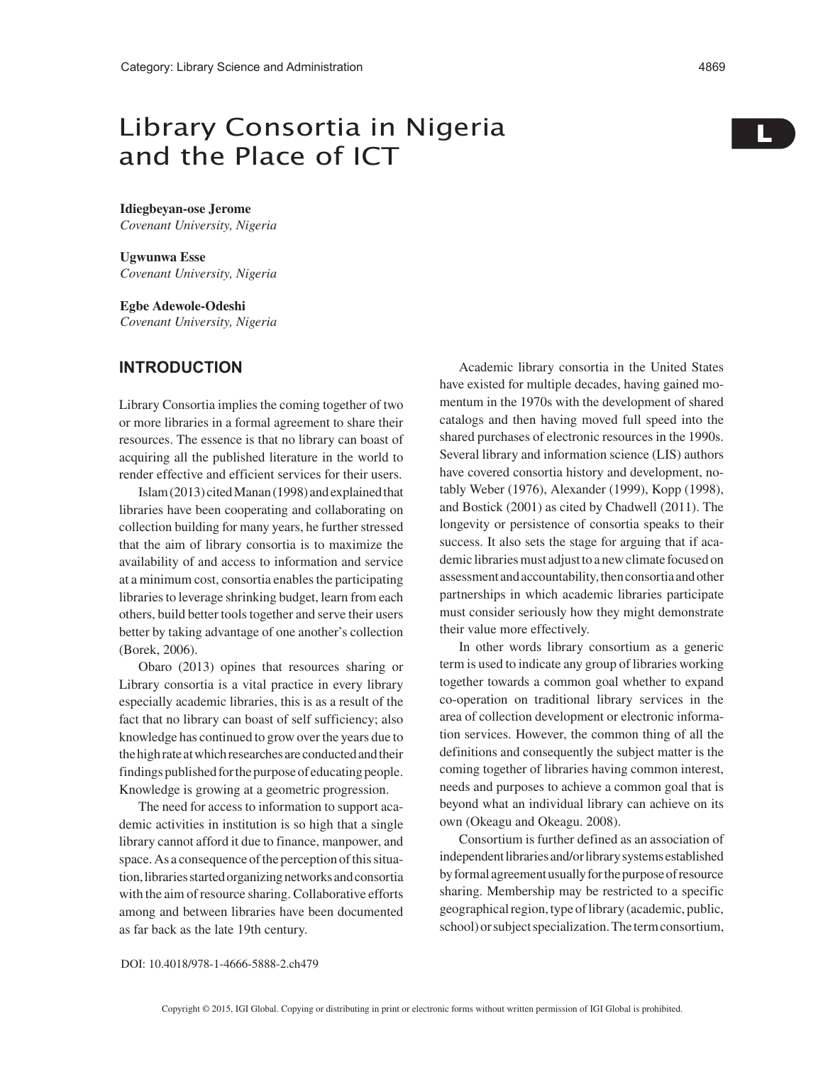# Library Consortia in Nigeria and the Place of ICT

**Idiegbeyan-ose Jerome** *Covenant University, Nigeria*

**Ugwunwa Esse** *Covenant University, Nigeria*

**Egbe Adewole-Odeshi** *Covenant University, Nigeria*

### **INTRODUCTION**

Library Consortia implies the coming together of two or more libraries in a formal agreement to share their resources. The essence is that no library can boast of acquiring all the published literature in the world to render effective and efficient services for their users.

Islam (2013) cited Manan (1998) and explained that libraries have been cooperating and collaborating on collection building for many years, he further stressed that the aim of library consortia is to maximize the availability of and access to information and service at a minimum cost, consortia enables the participating libraries to leverage shrinking budget, learn from each others, build better tools together and serve their users better by taking advantage of one another's collection (Borek, 2006).

Obaro (2013) opines that resources sharing or Library consortia is a vital practice in every library especially academic libraries, this is as a result of the fact that no library can boast of self sufficiency; also knowledge has continued to grow over the years due to the high rate at which researches are conducted and their findings published for the purpose of educating people. Knowledge is growing at a geometric progression.

The need for access to information to support academic activities in institution is so high that a single library cannot afford it due to finance, manpower, and space. As a consequence of the perception of this situation, libraries started organizing networks and consortia with the aim of resource sharing. Collaborative efforts among and between libraries have been documented as far back as the late 19th century.

Academic library consortia in the United States have existed for multiple decades, having gained momentum in the 1970s with the development of shared catalogs and then having moved full speed into the shared purchases of electronic resources in the 1990s. Several library and information science (LIS) authors have covered consortia history and development, notably Weber (1976), Alexander (1999), Kopp (1998), and Bostick (2001) as cited by Chadwell (2011). The longevity or persistence of consortia speaks to their success. It also sets the stage for arguing that if academic libraries must adjust to a new climate focused on assessment and accountability, then consortia and other partnerships in which academic libraries participate must consider seriously how they might demonstrate their value more effectively.

In other words library consortium as a generic term is used to indicate any group of libraries working together towards a common goal whether to expand co-operation on traditional library services in the area of collection development or electronic information services. However, the common thing of all the definitions and consequently the subject matter is the coming together of libraries having common interest, needs and purposes to achieve a common goal that is beyond what an individual library can achieve on its own (Okeagu and Okeagu. 2008).

Consortium is further defined as an association of independent libraries and/or library systems established by formal agreement usually for the purpose of resource sharing. Membership may be restricted to a specific geographical region, type of library (academic, public, school) or subject specialization. The term consortium,

L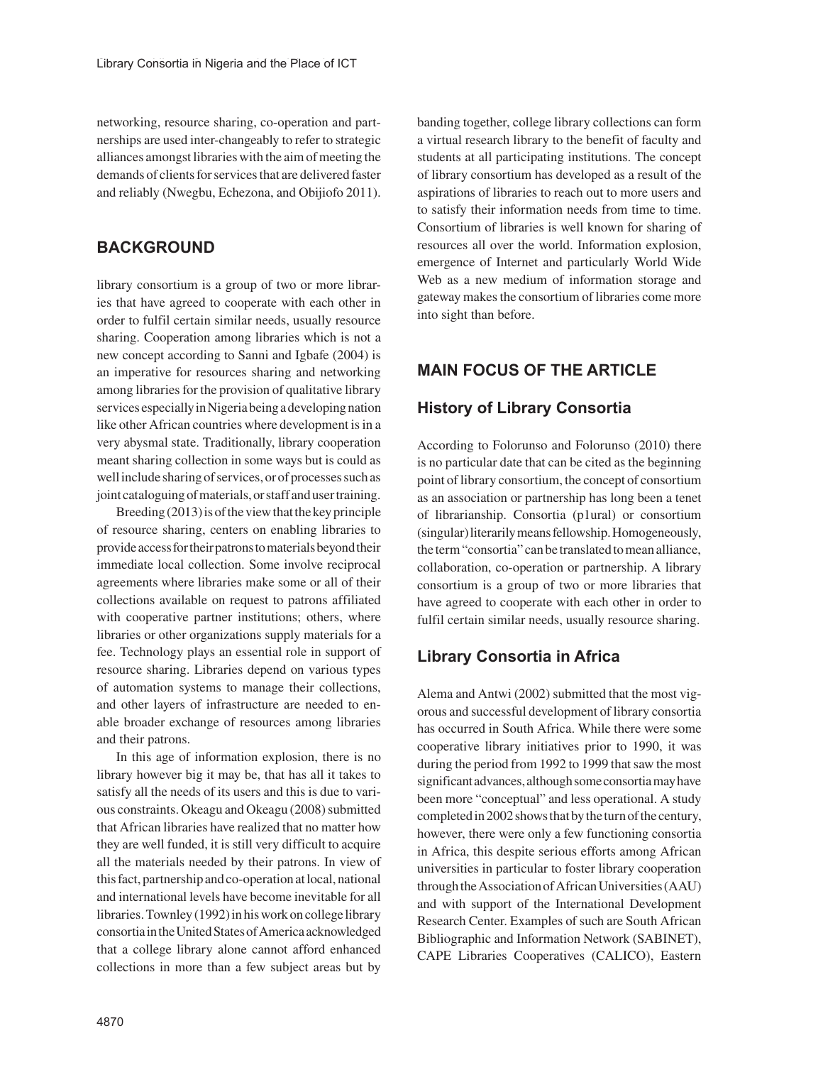networking, resource sharing, co-operation and partnerships are used inter-changeably to refer to strategic alliances amongst libraries with the aim of meeting the demands of clients for services that are delivered faster and reliably (Nwegbu, Echezona, and Obijiofo 2011).

# **BACKGROUND**

library consortium is a group of two or more libraries that have agreed to cooperate with each other in order to fulfil certain similar needs, usually resource sharing. Cooperation among libraries which is not a new concept according to Sanni and Igbafe (2004) is an imperative for resources sharing and networking among libraries for the provision of qualitative library services especially in Nigeria being a developing nation like other African countries where development is in a very abysmal state. Traditionally, library cooperation meant sharing collection in some ways but is could as well include sharing of services, or of processes such as joint cataloguing of materials, or staff and user training.

Breeding (2013) is of the view that the key principle of resource sharing, centers on enabling libraries to provide access for their patrons to materials beyond their immediate local collection. Some involve reciprocal agreements where libraries make some or all of their collections available on request to patrons affiliated with cooperative partner institutions; others, where libraries or other organizations supply materials for a fee. Technology plays an essential role in support of resource sharing. Libraries depend on various types of automation systems to manage their collections, and other layers of infrastructure are needed to enable broader exchange of resources among libraries and their patrons.

In this age of information explosion, there is no library however big it may be, that has all it takes to satisfy all the needs of its users and this is due to various constraints. Okeagu and Okeagu (2008) submitted that African libraries have realized that no matter how they are well funded, it is still very difficult to acquire all the materials needed by their patrons. In view of this fact, partnership and co-operation at local, national and international levels have become inevitable for all libraries. Townley (1992) in his work on college library consortia in the United States of America acknowledged that a college library alone cannot afford enhanced collections in more than a few subject areas but by

banding together, college library collections can form a virtual research library to the benefit of faculty and students at all participating institutions. The concept of library consortium has developed as a result of the aspirations of libraries to reach out to more users and to satisfy their information needs from time to time. Consortium of libraries is well known for sharing of resources all over the world. Information explosion, emergence of Internet and particularly World Wide Web as a new medium of information storage and gateway makes the consortium of libraries come more into sight than before.

# **MAIN FOCUS OF THE ARTICLE**

# **History of Library Consortia**

According to Folorunso and Folorunso (2010) there is no particular date that can be cited as the beginning point of library consortium, the concept of consortium as an association or partnership has long been a tenet of librarianship. Consortia (p1ural) or consortium (singular) literarily means fellowship. Homogeneously, the term "consortia" can be translated to mean alliance, collaboration, co-operation or partnership. A library consortium is a group of two or more libraries that have agreed to cooperate with each other in order to fulfil certain similar needs, usually resource sharing.

# **Library Consortia in Africa**

Alema and Antwi (2002) submitted that the most vigorous and successful development of library consortia has occurred in South Africa. While there were some cooperative library initiatives prior to 1990, it was during the period from 1992 to 1999 that saw the most significant advances, although some consortia may have been more "conceptual" and less operational. A study completed in 2002 shows that by the turn of the century, however, there were only a few functioning consortia in Africa, this despite serious efforts among African universities in particular to foster library cooperation through the Association of African Universities (AAU) and with support of the International Development Research Center. Examples of such are South African Bibliographic and Information Network (SABINET), CAPE Libraries Cooperatives (CALICO), Eastern